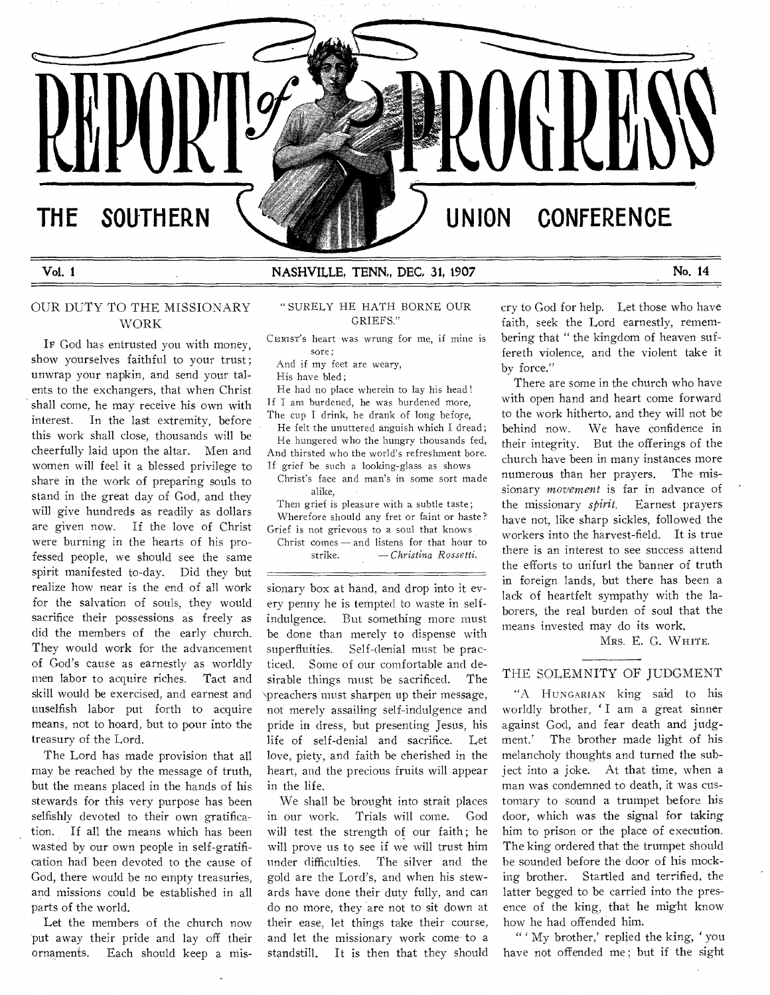# **THE SOUTHERN**

**REPURIE** 

# **Vol. 1 NASHVILLE, TENN,, DEC, 31, 1907 No. 14**

# OUR DUTY TO THE MISSIONARY WORK

IF God has entrusted you with money, show yourselves faithful to your trust ; unwrap your napkin, and send your talents to the exchangers, that when Christ shall come, he may receive his own with interest. In the last extremity, before this work shall close, thousands will be cheerfully laid upon the altar. Men and women will feel it a blessed privilege to share in the work of preparing souls to stand in the great day of God, and they will give hundreds as readily as dollars are given now. If the love of Christ were burning in the hearts of his professed people, we should see the same spirit manifested to-day. Did they but realize how near is the end of all work for the salvation of souls, they would sacrifice their possessions as freely as did the members of the early church. They would work for the advancement of God's cause as earnestly as worldly men labor to acquire riches. Tact and skill would be exercised, and earnest and unselfish labor put forth to acquire means, not to hoard, but to pour into the treasury of the Lord.

The Lord has made provision that all may be reached by the message of truth, but the means placed in the hands of his stewards for this very purpose has been selfishly devoted to their own gratification. If all the means which has been wasted by our own people in self-gratification had been devoted to the cause of God, there would be no empty treasuries, and missions could be established in all parts of the world.

Let the members of the church now put away their pride and lay off their ornaments. Each should keep a mis-

# " SURELY HE HATH BORNE OUR GRIEFS."

CHRIST's heart was wrung for me, if mine is sore;

And if my feet are weary,

His have bled;

He had no place wherein to lay his head! If I am burdened, he was burdened more, The cup I drink, he drank of long before,

He felt the unuttered anguish which I dread; He hungered who the hungry thousands fed, And thirsted who the world's refreshment bore. If grief be such a looking-glass as shows

Christ's face and man's in some sort made alike,

Then grief is pleasure with a subtle taste; Wherefore should any fret or faint or haste? Grief is not grievous to a soul that knows

Christ comes —\_and listens for that hour to strike. — *Christina Rossetti.* 

sionary box at hand, and drop into it every penny he is tempted to waste in selfindulgence. But something more must be done than merely to dispense with superfluities. Self-denial must be practiced. Some of our comfortable and desirable things must be sacrificed. The \preachers must sharpen up their message, not merely assailing self-indulgence and pride in dress, but presenting Jesus, his life of self-denial and sacrifice. Let love, piety, and faith be cherished in the heart, and the precious fruits will appear in the life.

We shall be brought into strait places in our work. Trials will come. God will test the strength of our faith; he will prove us to see if we will trust him under difficulties. The silver and the gold are the Lord's, and when his stewards have done their duty fully, and can do no more, they are not to sit down at their ease, let things take their course, and let the missionary work come- to a standstill. It is then that they should cry to God for help. Let those who have faith, seek the Lord earnestly, remembering that " the kingdom of heaven suffereth violence, and the violent take it by force."

**OGRED A** 

**UNION CONFERENCE** 

There are some in the church who have with open hand and heart come forward to the work hitherto, and they will not be behind now. We have confidence in their integrity. But the offerings of the church have been in many instances more numerous than her prayers. The- missionary *movement* is far in advance of the missionary *spirit.* Earnest prayers have not, like sharp sickles, followed the workers into the harvest-field. It is true there is an interest to see success attend the efforts to unfurl the banner of truth in foreign lands, but there has been a lack of heartfelt sympathy with the laborers, the real burden of soul that the means invested may do its work.

MRS. E. G. WHITE.

# THE SOLEMNITY OF JUDGMENT

"A HUNGARIAN king said to his worldly brother, 'I am a great sinner against God, and fear death and judgment.' The brother made light of his melancholy thoughts and turned the subject into a joke. At that time, when a man was condemned to death, it was customary to sound a trumpet before his door, which was the signal for taking him to prison or the place of execution. The king ordered that the trumpet should be sounded before the door of his mocking brother. Startled and terrified, the latter begged to be carried into the presence of the king, that he might know how he had offended him.

" 'My brother,' replied the king, 'you have not offended me ; but if the sight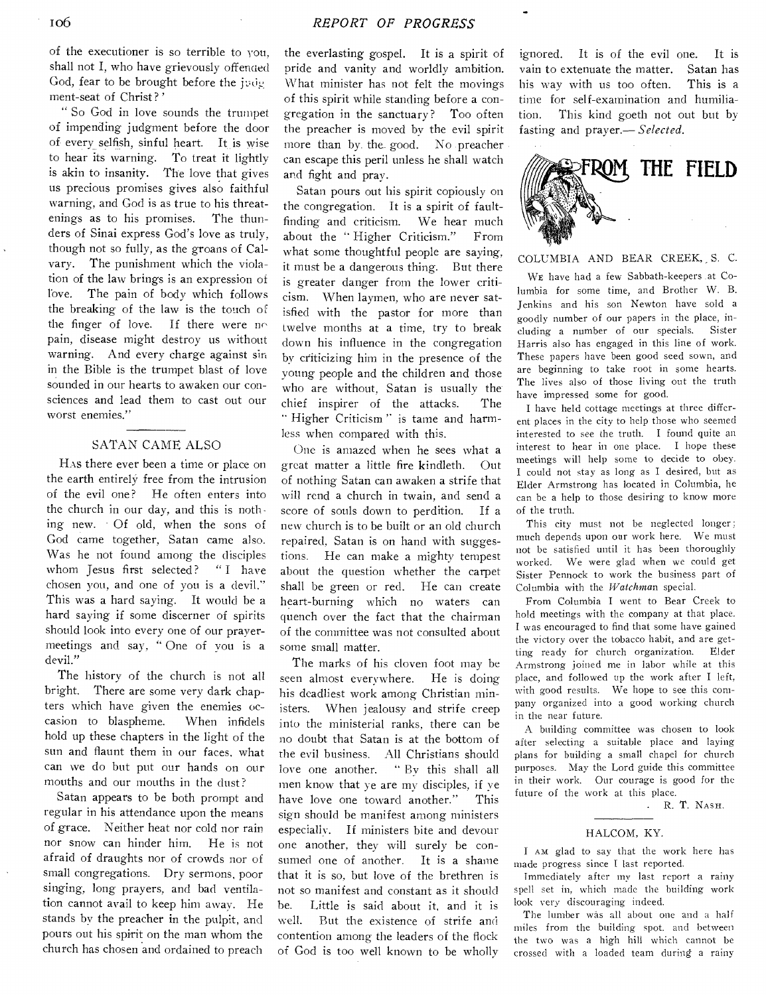of the executioner is so terrible to you, shall not I, who have grievously offended God, fear to be brought before the judg ment-seat of Christ ? '

" So God in love sounds the trumpet of impending judgment before the door of every selfish, sinful heart. It is wise to hear its warning. To treat it lightly is akin to insanity. The love that gives us precious promises gives also faithful warning, and God is as true to his threatenings as to his promises. The thunders of Sinai express God's love as truly, though not so fully, as the groans of Calvary. The punishment which the violation of the law brings is an expression of love. The pain of body which follows the breaking of the law is the touch o the finger of love. If there were no pain, disease might destroy us without warning. And every charge against sin in the Bible is the trumpet blast of love sounded in our hearts to awaken our consciences and lead them to cast out our worst enemies."

#### SATAN CAME ALSO

HAs there ever been a time or place on the earth entirely free from the intrusion of the evil one? He often enters into the church in our day, and this is noth ing new. Of old, when the sons of God came together, Satan came also. Was he not found among the disciples whom Jesus first selected? "I have chosen you, and one of you is a devil." This was a hard saying. It would be a hard saying if some discerner of spirits should look into every one of our prayermeetings and say, " One of you is a devil."

The history of the church is not all bright. There are some very dark chapters which have given the enemies occasion to blaspheme. When infidels hold up these chapters in the light of the sun and flaunt them in our faces, what can we do but put our hands on our mouths and our mouths in the dust?

Satan appears to be both prompt and regular in his attendance upon the means of grace. Neither heat nor cold nor rain nor snow can hinder him. He is not afraid of draughts nor of crowds nor of small congregations. Dry sermons, poor singing, long prayers, and bad ventilation cannot avail to keep him away. He stands by the preacher in the pulpit, and pours out his spirit on the man whom the church has chosen and ordained to preach

the everlasting gospel. It is a spirit of pride and vanity and worldly ambition. What minister has not felt the movings of this spirit while standing before a congregation in the sanctuary? Too often the preacher is moved by the evil spirit more than by. the. good. No preacher can escape this peril unless he shall watch and fight and pray.

Satan pours out his spirit copiously on the congregation. It is a spirit of faultfinding and criticism. We hear much about the " Higher Criticism." From what some thoughtful people are saying, it must be a dangerous thing. But there is greater danger from the lower criticism. When laymen, who are never satisfied with the pastor for more than twelve months at a time, try to break down his influence in the congregation by criticizing him in the presence of the young people and the children and those who are without, Satan is usually the chief inspirer of the attacks. The "Higher Criticism" is tame and harmless when compared with this.

One is amazed when he sees what a great matter a little fire kindleth. Out of nothing Satan can awaken a strife that will rend a church in twain, and send a score of souls down to perdition. If a new church is to be built or an old church repaired, Satan is on hand with suggestions. He can make a mighty tempest about the question whether the carpet shall be green or red. He can create heart-burning which no waters can quench over the fact that the chairman of the committee was not consulted about some small matter.

The marks of his cloven foot may be seen almost everywhere. He is doing his deadliest work among Christian ministers. When jealousy and strife creep into the ministerial ranks, there can be no doubt that Satan is at the bottom of the evil business. All Christians should love one another. " By this shall all men know that ye are my disciples, if ye have love one toward another." This sign should be manifest among ministers especially. If ministers bite and devour one another, they will surely be consumed one of another. It is a shame that it is so, but love of the brethren is not so manifest and constant as it should be. Little is said about it, and it is well. But the existence of strife and contention among the leaders of the flock of God is too well known to be wholly

ignored. It is of the evil one. It is vain to extenuate the matter. Satan has his way with us too often. This is a time for self-examination and humiliation. This kind goeth not out but by fasting and prayer.— *Selected.* 



### COLUMBIA AND BEAR CREEK, S. C.

WE have had a few Sabbath-keepers at Columbia for some time, and Brother W. B. Jenkins and his son Newton have sold a goodly number of our papers in the place, including a number of our specials. Sister Harris also has engaged in this line of work. These papers have been good seed sown, and are beginning to take root in some hearts. The lives also of those living out the truth have impressed some for good.

I have held cottage meetings at three different places in the city to help those who seemed interested to see the truth. I found quite an interest to hear in one place. I hope these meetings will help some to decide to obey. I could not stay as long as I desired, but as Elder Armstrong has located in Columbia, he can be a help to those desiring to know more of the truth.

This city must not be neglected longer; much depends upon our work here. We must not be satisfied until it has been thoroughly worked. We were glad when we could get Sister Pennock to work the business part of Columbia with the *Watchman* special.

From Columbia I went to Bear Creek to hold meetings with the company at that place. I was encouraged to find that some have gained the victory over the tobacco habit, and are getting ready for church organization. Elder Armstrong joined me in labor while at this place, and followed up the work after I left, with good results. We hope to see this company organized into a good working church in the near future.

A building committee was chosen to look after selecting a suitable place and laying plans for building a small chapel for church purposes. May the Lord guide this committee in their work. Our courage is good for the future of the work at this place.

. R. T. NASH.

#### HALCOM, KY.

I AM glad to say that the work here has made progress since I last reported.

Immediately after my last report a rainy spell set in, which made the building work look very discouraging indeed.

The lumber was all about one and a half miles from the building spot. and between the two was a high hill which cannot be crossed with a loaded team during a rainy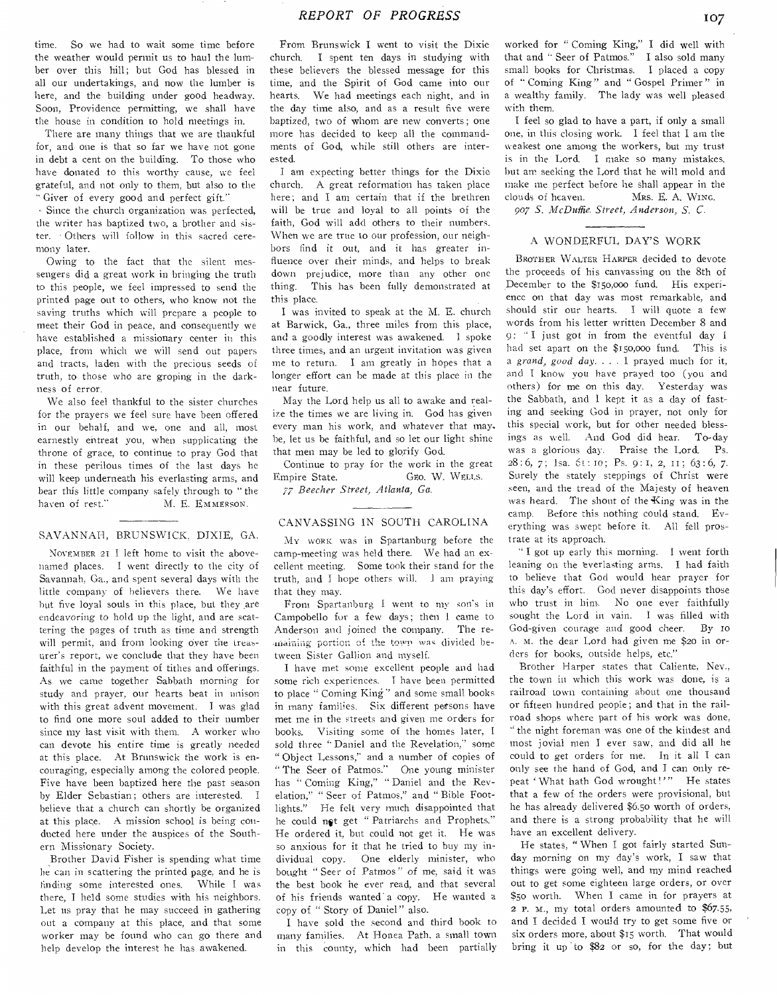time. So we had to wait some time before the weather would permit us to haul the lumber over this hill; but God has blessed in all our undertakings, and now the lumber is here, and the building under good headway. Soon, Providence permitting, we shall have the house in condition to hold meetings in.

There are many things that we are thankful for, and- one is that so far we have not gone **in** debt a cent on the building. To those **who have** donated to this worthy cause, **we feel grateful,** and not only to them, but **also to the "** Giver of every good and perfect **gift"** 

- Since the church organization was perfected, the writer has baptized two, a brother and sister. Others will follow in this sacred ceremony later.

Owing to **the fact** that the silent messengers did a **great work** in bringing the truth to this people, **we** feel impressed to send the printed page out to others, who know not the saving truths which will prepare a people to meet their God in peace, and consequently **we**  have established a missionary **center in** this place, from which **we** will send out papers and tracts, laden **with** the precious seeds of truth, to those **who are** groping **in** the darkness of error.

We also feel thankful to **the** sister churches for the prayers we feel **sure have** been offered in our behalf, **and we, one** and all, most earnestly **entreat you, when** supplicating the throne of **grace, to** continue to pray God that in these perilous times of the last **days he**  will keep underneath his everlasting **arms, and**  bear this little company safely through to "the haven of rest." M. E. EMMERSON. M. E. EMMERSON.

#### SAVANNAH, BRUNSWICK, DIXIE, **GA.**

**NovansER** 21 I left home to visit the **abovenamed places. I** went **directly to** the city **of Savannah, Ga., and** spent **several** days **with the little company of believers there. We have hut five loyal souls in this place,** but **they are endeavoring to hold** up **the light,** and are **scattering the pages** of truth **as time** and **strength**  will permit, and from looking over the treasurer's report, we conclude **that they** have been faithful in the **payment** of tithes and offerings. As we came together Sabbath morning **for**  study and prayer, our hearts beat in unison with this great advent movement. I was glad to find one more soul added to their number since my last visit with them. A worker who can devote his entire time is greatly **needed at** this place. At Brunswick the work is encouraging, especially among the colored people. Five have been baptized here the past season by Elder Sebastian; others are interested. I believe that a church can shortly be organized at this place. A mission school is being conducted here under the auspices of the Southern Missionary Society.

Brother David Fisher is spending what time he can in scattering the printed page, and he is fmding some **interested** ones. While I **was**  there, I held some studies with his neighbors. Let us pray that he may succeed in gathering out a company at this place, and that some worker may be found who can go there and help develop the interest he has awakened.

From Brunswick I went to visit the Dixie church. I spent ten days in studying with these believers the blessed message for this time, and the Spirit of God came into our hearts. We had meetings each night, and in the day time also, and as a result five were baptized, two of whom are new converts ; one more has decided to keep all the commandments of God, while still others are interested.

I am **expecting** better things for the Dixie church. A great reformation has taken place here; and I am certain that if the brethren will be true and loyal to all points of the faith, God will add others to their numbers. When we are true to our profession, our neighbors find it out, and it has greater influence over their minds, and helps to break down prejudice, more than any other one thing. This has been fully demonstrated at this place.

I was invited to speak at the M. E. church at Barwick, Ga., three miles from this place, and a goodly interest was awakened. I **spoke**  three times, and an urgent invitation **was given**  me to return. I am greatly in **hopes that** a longer effort can be made at this **place in** the near future.

May the Lord help us all to awake and realize the times we are living in. God has given **every** man his work, and whatever that **may.**  be, let us be faithful, and so let our light shine that men may be led to glorify God.

Continue to pray for the work in the **great**  Empire State. GEO. W. WELLS. 77 *Beecher Street, Atlanta, Ga.* 

#### CANVASSING IN SOUTH CAROLINA

My WORK **was** in Spartanburg before the camp-meeting **was** held there. We had an excellent meeting. Some **took their** stand for **the**  truth, and I **hope** others will. **.1** am praying that they **may.** 

From **Spartanburg I went to my son's in**  Campobello **for a** few **days;** then I **came to**  Anderson **and joined the company. The re-** ,maining **portion: of the town Wag divided between Sister Gallion and myself.** 

I have **met some excellent** people and had some **rich experiences.** I have been permitted to place " Coming King" and some small books in many families. **Six** different persons have met me in the **streets** and given **me orders for**  hooks. **Visiting some** of the homes **later, I**  sold three "Daniel and the Revelation," some **" Object** Lessons," and a number of copies **of "** The Seer of **Patmos."** One young minister has " Coming King," " Daniel and the Revelation," " Seer of Patmos," and " Bible Footlights." He felt very much disappointed that he could **npt** get " Patriarchs and Prophets." He ordered it, but could not get it. He was so anxious for it that he tried to buy my individual **copy.** One elderly minister, who bought " Seer of Patmos " of me, said it was the best book he ever read, and that several of his friends wanted' a **copy. He wanted** a copy of " Story of Daniel" also.

I have sold the second and third book to many families. At Honea Path, a small town in this county, which had been partially

worked for " Coming King," I did well with that and "Seer of Patmos." I also sold many small books for Christmas. I placed a copy of " Coming King" and " Gospel Primer " in a wealthy family. The lady was well pleased with them.

I feel so glad to have a part, if only a small one, in this closing work. I feel that I am the weakest one among the workers, but my trust is in the Lord. I make so many mistakes. but am seeking the Lord that he will mold and make me perfect before he shall appear in the clouds of heaven. MRS. **E. A.** WING.

907 S. McDuffie. Street, Anderson, S. C.

## A WONDERFUL DAY'S WORK

BROTHER WALTER HARPER decided to devote the proceeds of his canvassing on the 8th of December to the \$15o,000 fund. His experience on that day was most remarkable, and should stir our hearts. I will quote a few words from his letter written December 8 and **9: " I** just got in from the eventful day **I. had set apart on** the \$t5o,000 fund. This is **a** *grand, good day. . . 1* prayed much for it, **and I know you** have prayed too (you and **others) for me** on this day. Yesterday was the **Sabbath,** and I kept it **as a** day of fasting **and seeking** God in prayer, not only **for this special work,** but for other needed blessings **as well.** And God did hear. To-day **was a glorious day.** Praise the Lord. Ps. **28:6, 7; lsa. 6s : m;** Ps. 9: 1, 2, is; 63 : **6,** 7. **Surely** the **stately** steppings of Christ were **seen,** and the tread of the Majesty of heaven was heard. The shout of the King was in the **camp. Before this** nothing could stand. Everything **was** swept before it. All fell prostrate at its approach.

" I got up early this morning. I went forth leaning on the everlasting arms. I had faith to **believe that** God would hear prayer for this **day's effort.** God never disappoints those who **trust in** him. No **one** ever faithfully **sought the** Lord **in vain. I was** filled with God-given courage and good cheer. By 10 A. **M.** the **dear Lord had** given **me** \$20 **in** orders for books, outside helps, etc."

Brother **Harper states** that Caliente, Nev., the town **in which this** work **was** done, is a railroad town **containing** about one thousand or fifteen **hundred** people; and that in the railroad shops where part of his work was done, " the **night** foreman **was one of** the kindest and most jovial men I **ever saw,** and did all he could to get orders **for** me. In it all I can only see the hand of God, and I can only repeat ' What hath God wrought!'" He states that a few of- the orders were provisional, but he has already delivered \$6.5o worth of orders, and there is a strong probability that he will have an excellent delivery.

He states, " When I got fairly started Sunday morning on my day's work, I saw that things were going well, and my mind reached out to get some eighteen large orders, or over \$50 worth. When I came in for prayers at 2 P. M.; my total orders amounted to \$67.55, and I decided I would try to get some five or six orders more, about \$15 worth. That would bring it up to  $$82$  or so, for the day; but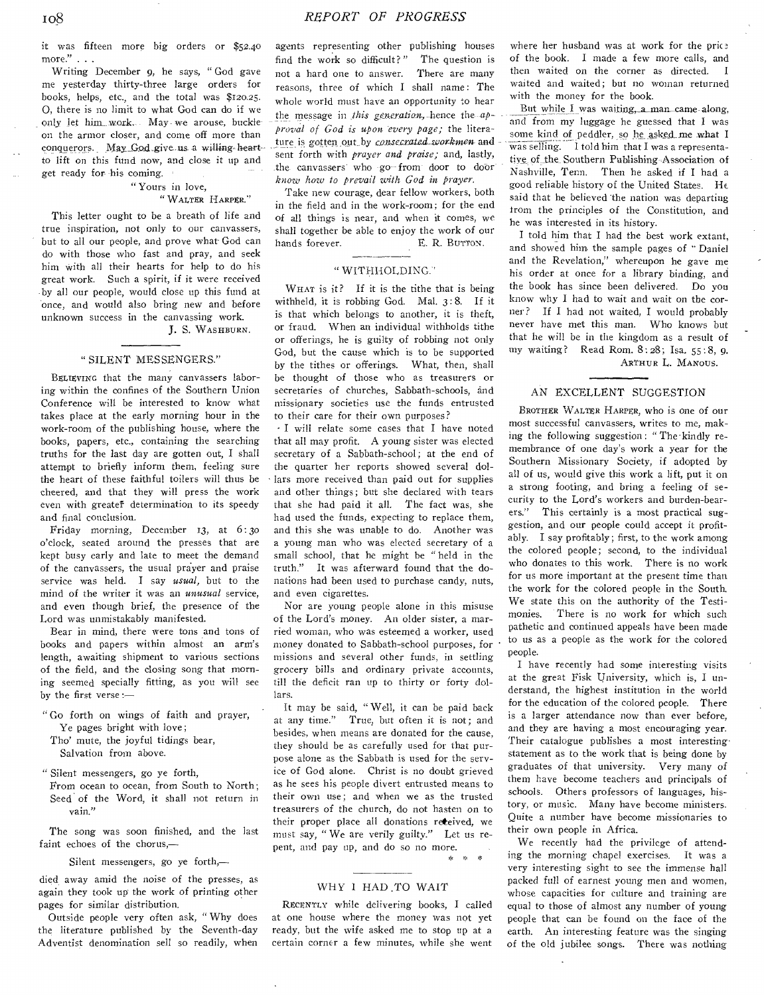it was fifteen more big orders or \$52.40 more." . . .

Writing December 9, he says, " God gave me yesterday thirty-three large orders for books, helps, etc., and the total was \$120.25. 0, there is no limit to what God can do if we only let him work. May we arouse, buckleon the armor closer, and come off more than conquerors. May God give us a willing heart to lift on this fund now, and close it up and get ready for his coming.

#### " Yours in love, " WALTER HARPER."

This letter ought to be a breath of life and true inspiration, not only to our canvassers, but to all our people, and prove what God can do with those who fast and pray, and seek him with all their hearts for help to do his great work. Such a spirit, if it were received by all our people, would close up this fund at once, and would also bring new and before unknown success in the canvassing work. J. S. WASHBURN.

#### " SILENT MESSENGERS."

BELIEVING that the many canvassers laboring within the confines of the Southern Union Conference will be interested to know what takes place at the early morning hour in the work-room of the publishing house, where the books, papers, etc., containing the searching truths for the last day are gotten out, I shall attempt to briefly inform them, feeling sure the heart of these faithful toilers will thus be cheered, and that they will press the work even with greater determination to its speedy and final conclusion.

Friday morning, December 13, at 6: 3o o'clock, seated around the presses that are kept busy early and late to meet the demand of the canvassers, the usual prayer and praise service was held. I say *usual,* but to the mind of the writer it was an *unusual* service, and even though brief, the presence of the Lord was unmistakably manifested.

Bear in mind, there were tons and tons of books and papers within almost an arm's length, awaiting shipment to various sections of the field, and the closing song that morning seemed specially fitting, as you will see by the first verse :—

" Go forth on wings of faith and prayer, Ye pages bright with love;

Tho' mute, the joyful tidings bear,

Salvation from above.

" Silent messengers, go ye forth,

From ocean to ocean, from South to North ; Seed of the Word, it shall not return in vain."

The song was soon finished, and the last faint echoes of the chorus,—

Silent messengers, go ye forth,—

died away amid the noise of the presses, as again they took up the work of printing other pages for similar distribution.

Outside people very often ask, " Why does the literature published by the Seventh-day Adventist denomination sell so readily, when agents representing other publishing houses find the work so difficult?" The question is not a hard one to answer. There are many reasons, three of which I shall name: The whole world must have an opportunity to hear the message in *this generation*, hence the *approval of God is upon 'every page;* the literature is gotten out by *consecrated workmen* and sent forth with *prayer and praise;* and, lastly, the canvassers who go from door to door *know how to prevail with God in prayer.* 

Take new courage, dear fellow workers, both in the field and in the work-room; for the end of all things is near, and when it comes, we shall together be able to enjoy the work of our hands forever. E. R. BUTTON.

#### " WITHHOLDING:

WHAT is it? If it is the tithe that is being withheld, it is robbing God. Mal. 3: 8. If it is that which belongs to another, it is theft, or fraud. When an individual withholds tithe or offerings, he is guilty of robbing not only God, but the cause which is to be supported by the tithes or offerings. What, then, shall be thought of those who as treasurers or secretaries of churches, Sabbath-schools, and missionary societies use the funds entrusted to their care for their own purposes?

• I will relate some cases that I have noted that all may profit. A young sister was elected secretary of a Sabbath-school; at the end of the quarter her reports showed several dollars more received than paid out for supplies and other things; but she declared with tears that she had paid it all. The fact was, she had used the funds, expecting to replace them, and this she was unable to do. Another was a young man who was elected secretary of a small school, that he might be " held in the truth." It was afterward found that the donations had been used to purchase candy, nuts, and even cigarettes.

Nor are young people alone in this misuse of the Lord's money. An older sister, a married woman, who was esteemed a worker, used money donated to Sabbath-school purposes, for missions and several other funds, in settling grocery bills and ordinary private accounts, till the deficit ran up to thirty or forty dollars.

It may be said, Well, it can be paid back at any time." True, but often it is not; and besides, when means are donated for the cause, they should be as carefully used for that purpose alone as the Sabbath is used for the service of God alone. Christ is no doubt grieved as he sees his people divert entrusted means to their own use; and when we as the trusted treasurers of the church, do not hasten on to their proper place all donations received, we must say, " We are verily guilty." Let us repent, and pay up, and do so no more.

 $\mathbf{x} = \mathbf{x}$ 

#### WHY 1 HAD .TO WAIT

RECENTLY while delivering books, I called at one house where the money was not yet ready, but the wife asked me to stop up at a certain corner a few minutes, while she went where her husband was at work for the price of the book. I made a few more calls, and then waited on the corner as directed. I waited and waited; but no woman returned with the money for the book.

But while I was waiting, a man came along, and from my luggage he guessed that I was some kind of peddler, so he asked me what I was selling. I told him that I was a representative of the Southern Publishing-Association of Nashville, Tenn, Then he asked if I had a good reliable history of the United States. He said that he believed the nation was departing from the principles of the Constitution, and he was interested in its history.

I told him that I had the best work extant, and showed him the sample pages of " Daniel and the Revelation;' whereupon he gave me his order at once for a library binding, and the book has since been delivered. Do you know why I had to wait and wait on the corner? If I had not waited, I would probably never have met this man. Who knows but that he will be in the kingdom as a result of my waiting? Read Rom. 8:28; Isa. 55 : 8, 9. ARTHUR L. MANOUS.

#### AN EXCELLENT SUGGESTION

BROTHER WALTER HARPER, who is one of our most successful canvassers, writes to me, making the following suggestion: "The kindly remembrance of one day's work a year for the Southern Missionary Society, if adopted by all of us, would give this work a lift, put it on a strong footing, and bring a feeling of security to the Lord's workers and burden-bearers." This certainly is a most practical suggestion, and our people could accept it profitably. I say profitably; first, to the work among the colored people; second, to the individual who donates to this work. There is no work for us more important at the present time than the work for the colored people in the South. We state this on the authority of the Testimonies. There is no work for which such pathetic and continued appeals have been made to us as a people as the work for the colored people.

I have recently had some interesting visits at the great Fisk University, which is, I understand, the highest institution in the world for the education of the colored people. There is a larger attendance now than ever before, and they are having a most encouraging year. Their catalogue publishes a most interesting statement as to the work that is being done by graduates of that university. Very many of them have become teachers and principals of schools. Others professors of languages, history, or music. Many have become ministers. Quite a number have become missionaries to their own people in Africa.

We recently had the privilege of attending the morning chapel exercises. It was a very interesting sight to see the immense hall packed full of earnest young men and women, whose capacities for culture and training are equal to those of almost any number of young people that can be found on the face of the earth. An interesting feature was the singing of the old jubilee songs. There was nothing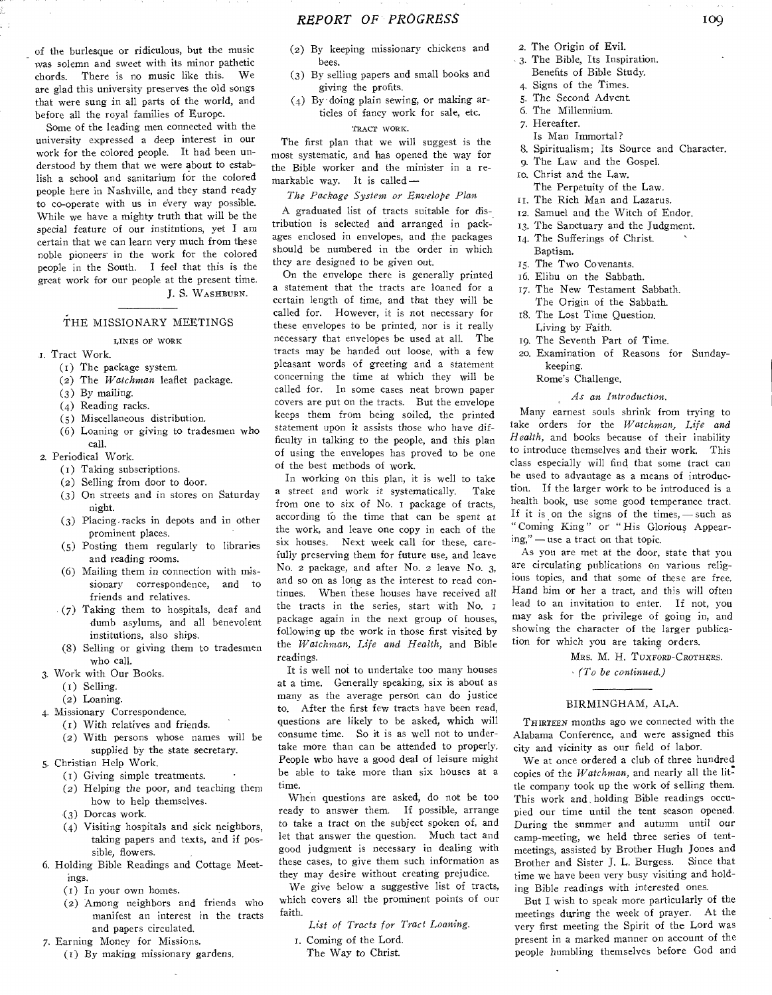Some of the leading men connected with the university expressed a deep interest in our work for the colored people. It had been understood by them that we were about to establish a school and sanitarium for the colored people here in Nashville, and they stand ready to co-operate with us in every way possible. While we have a mighty truth that will be the special feature of our institutions, yet I am certain that we can learn very much from these noble pioneers in the work for the colored people in the South. I feel that this is the great work for our people at the present time.

# J. S. WASHBURN.

### THE MISSIONARY MEETINGS

#### LINES OE WORK

- 1. Tract Work.
	- (i) The package system.
	- (2) The *Watchman* leaflet package.
	- (3) By mailing.
	- (4) Reading racks.
	- (5) Miscellaneous distribution.
	- (6) Loaning or giving to tradesmen who call.
- 2. Periodical Work.
	- (I) Taking subscriptions.
	- (2) Selling from door to door.
	- (3) On streets and in stores on Saturday night.
	- (3) Placing racks in depots and in other prominent places.
	- (5) Posting them regularly to libraries and reading rooms.
	- (6) Mailing them in connection with missionary correspondence, and to friends and relatives.
	- (7) Taking them to hospitals, deaf and dumb asylums, and all benevolent institutions, also ships.
	- (8) Selling or giving them to tradesmen who call.
- 3. Work with Our Books.
	- (i) Selling.
	- (2) Loaning.
- 4. Missionary Correspondence.
	- (t) With relatives and friends.
	- (2) With persons whose names will be
	- supplied by the state secretary.
- 5. Christian Help Work.
	- (i) Giving simple treatments.
	- (2) Helping the poor, and teaching them how to help themselves.
	- (3) Dorcas work.
	- (4) Visiting hospitals and sick neighbors, taking papers and texts, and if possible, flowers.
- 6. Holding Bible Readings and Cottage Meetings.
	- (1) In your own homes.
	- (2) Among neighbors and friends who manifest an interest in the tracts and papers circulated.
- 7. Earning Money for Missions.
	- (1) By making missionary gardens.
- (2) By keeping missionary chickens and bees. (3) By selling papers and small books and
- giving the profits.
- (4) By-doing plain sewing, or making articles of fancy work for sale, etc. TRACT WORK.

The first plan that we will suggest is the most systematic, and has opened the way for the Bible worker and the minister in a remarkable way. It is called *—* 

*The Package System or Envelope Plan.* 

A graduated list of tracts suitable for distribution is selected and arranged in packages enclosed in envelopes, and the packages should be numbered in the order in which they are designed to be given out.

On the envelope there is generally printed a statement that the tracts are loaned for a certain length of time, and that they will be called for. However, it is not necessary for these envelopes to be printed, nor is it really necessary that envelopes be used at all. The tracts may be handed out loose, with a few pleasant words of greeting and a statement concerning the time at which they will be called for. In some cases neat brown paper covers are put on the tracts. But the envelope keeps them from being soiled, the printed statement upon it assists those who have difficulty in talking to the people, and this plan of using the envelopes has proved to be one of the best methods of work.

In working on this plan, it is well to take a street and work it systematically. Take from one to six of No. i package of tracts, according to the time that can be spent at the work, and leave one copy in each of the six houses. Next week call for these, carefully preserving them for future use, and leave No. 2 package, and after No. 2 leave No. 3, and so on as long as the interest to read continues. When these houses have received all the tracts in the series, start with No. package again in the next group of houses, following up the work in those first visited by the *Watchman, Life and Health,* and Bible readings.

It is well not to undertake too many houses at a time. Generally speaking, six is about as many as the average person can do justice to. After the first few tracts have been read, questions are likely to be asked, which will consume time. So it is as well not to undertake more than can be attended to properly. People who have a good deal of leisure might be able to take more than six houses at a time.

When questions are asked, do not be too ready to answer them. If possible, arrange to take a tract on the subject spoken of, and let that answer the question. Much tact and good judgment is necessary in dealing with these cases, to give them such information as they may desire without creating prejudice.

We *give* below a suggestive list of tracts, which covers all the prominent points of our faith.

*List of Tracts for Tract Loaning.* 

- i. Coming of the Lord.
	- The Way to Christ.
- 2. The Origin of Evil.
- 3. The Bible, Its Inspiration. Benefits of Bible Study.
- 4. Signs of the Times.
- 5. The Second Advent.
- 6. The Millennium.
- 7. Hereafter.
- Is Man Immortal?
- 8. Spiritualism; Its Source and Character.
- 9. The Law and the Gospel.
- to. Christ and the Law. The Perpetuity of the Law.
- II. The Rich Man and Lazarus.
- 12. Samuel and the Witch of Endor.
- 13. The Sanctuary and the Judgment.
- 14. The Sufferings of Christ. Baptism.
- 15. The Two Covenants.
- 16. Elihu on the Sabbath.
- 17. The New Testament Sabbath. The Origin of the Sabbath.
- 18. The Lost Time Question. Living by Faith.
- 19. The Seventh Part of Time.
- zo. Examination of Reasons for Sundaykeeping.
	- Rome's Challenge.

#### *As an Introduction.*

Many earnest souls shrink from trying to take orders for the *Watchman, Life and Health,* and books because of their inability to introduce themselves and their work. This class especially will find that some tract can be used to advantage as a means of introduction. If the larger work to be introduced is a health book, use some good temperance tract. If it is on the signs of the times, — such as " Coming King" or " His Glorious Appearing," — use a tract on that topic.

As you are met at the door, state that you are circulating publications on various religious topics, and that some of these are free. Hand him or her a tract, and this will often lead to an invitation to enter. If not, you may ask for the privilege of going in, and showing the character of the larger publication for which you are taking orders.

> MRS. *M. H.* TUXFORD-CROTHERS. *(To be continued.)*

#### BIRMINGHAM, ALA.

THIRTEEN months ago we connected with the Alabama Conference, and were assigned this city and vicinity as our field of labor.

We at once ordered a club of three hundred copies of the *Watchman*, and nearly all the little company took up the work of selling them. This work and, holding Bible readings occupied our time until the tent season opened. During the summer and autumn until our camp-meeting, we held three series of tentmeetings, assisted by Brother Hugh Jones and Brother and Sister J. L. Burgess. Since that time we have been very busy visiting and holding Bible readings with interested ones.

But I wish to speak more particularly of the meetings diving the week of prayer. At the very first meeting the Spirit of the Lord was present in a marked manner on account of the people humbling themselves before God and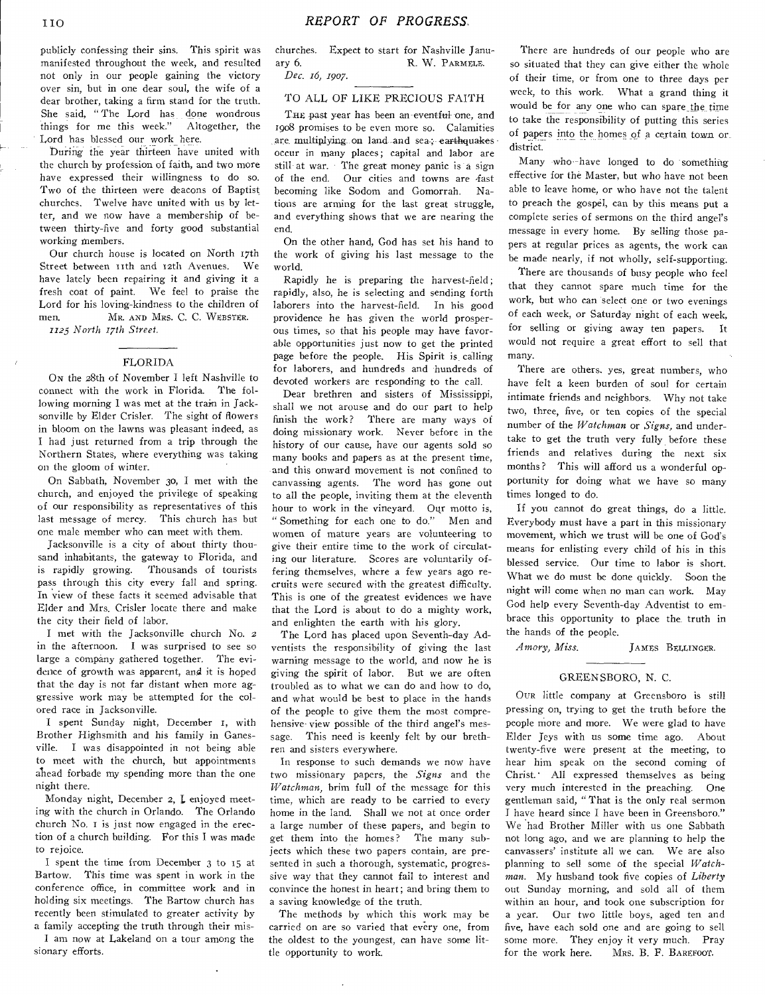publicly confessing their sins. This spirit was manifested throughout the week, and resulted not only in our people gaining the victory over sin, but in one dear soul, the wife of a dear brother, taking a firm stand for the truth. She said, "The Lord has done wondrous things for me this week." Altogether, the Lord has blessed our work here.

buring the year thirteen have united with the church by profession of faith, and two more have expressed their willingness to do so. Two of the thirteen were deacons of Baptist churches. Twelve have united with us by letter, and we now have a membership of between thirty-five and forty good substantial working members.

Our church house is located on North 17th Street between tith and i2th Avenues. We have lately been repairing it and giving it a fresh coat of paint. We feel to praise the Lord for his loving-kindness to the children of men. MR. AND MRS. C. C. WEBSTER.

*1123 North 17th Street.* 

#### FLORIDA

ON the 28th of November I left Nashville to connect with the work in Florida. The following morning I was met at the train in Jacksonville by Elder Crisler. The sight of flowers in bloom on the lawns was pleasant indeed, as I had just returned from a trip through the Northern States, where everything was taking on the gloom of winter.

On Sabbath, November 3o, I met with the church, and enjoyed the privilege of speaking of our responsibility as representatives of this last message of mercy. This church has but one male member who can meet with them.

Jacksonville is a city of about thirty thousand inhabitants, the gateway to Florida, and is rapidly growing. Thousands of tourists pass through this city every fall and spring. In view of these facts it seemed advisable that Elder and Mrs. Crisler locate there and make the city their field of labor.

I met with the Jacksonville church No. 2 in the afternoon. I was surprised to see so large a company gathered together. The evidence of growth was apparent, and it is hoped that the day is not far distant when more aggressive work may be attempted for the colored race in Jacksonville.

I spent Sunday night, December t, with Brother Highsmith and his family in Ganesville. I was disappointed in not being able to meet with the church, but appointments ahead forbade my spending more than the one night there.

Monday night, December 2, L enjoyed meeting with the church in Orlando. The Orlando church No. i is just now engaged in the erection of a church building. For this I was made to rejoice.

I spent the time from December 3 to 15 at Bartow. This time was spent in work in the conference office, in committee work and in holding six meetings. The Bartow church has recently been stimulated to greater activity by a family accepting the truth through their mis-

I am now at Lakeland on a tour among the sionary efforts.

churches. Expect to start for Nashville January 6. R. W. PARMELE.

*Dec. 16, 1907.* 

#### TO ALL OF LIKE PRECIOUS FAITH

THE past year has been an eventful one, and 1908 promises to be even more so. Calamities are multiplying on land and sea-; earthquakes occur in many places; capital and labor are still at war. The great money panic is a sign of the end. Our cities and towns are fast becoming like Sodom and Gomorrah. Nations are arming for the last great struggle, and everything shows that we are nearing the end.

On the other hand, God has set his hand to the work of giving his last message to the world.

Rapidly he is preparing the harvest-field; rapidly, also, he is selecting and sending forth laborers into the harvest-field. In his good providence he has given the world prosperous times, so that his people may have favorable opportunities just now to get the printed page before the people. His Spirit is calling for laborers, and hundreds and hundreds of devoted workers are responding to the call.

Dear brethren and sisters of Mississippi, shall we not arouse and do our part to help finish the work? There are many ways of doing missionary work. Never before in the history of our cause, have our agents sold so many books and papers as at the present time, and this onward movement is not confined to canvassing agents. The word has gone out to all the people, inviting them at the eleventh hour to work in the vineyard. Our motto is, Something for each one to do." Men and women of mature years are volunteering to give their entire time to the work of circulating our literature. Scores are voluntarily offering themselves, where a few years ago recruits were secured with the greatest difficulty. This is one of the greatest evidences we have that the Lord is about to do a mighty work, and enlighten the earth with his glory.

The Lord has placed upon Seventh-day Adventists the responsibility of giving the last warning message to the world, and now he is giving the spirit of labor. But we are often troubled as to what we can do and how to do, and what would be best to place in the hands of the people to give them the most comprehensive• view possible of the third angel's message. This need is keenly felt by our brethren and sisters everywhere.

In response to such demands we now have two missionary papers, the *Signs* and the *Watchman,* brim full of the message for this time, which are ready to be carried to every home in the land. Shall we not at once order a large number of these papers, and begin to get them into the homes? The many subjects which these two papers contain, are presented in such a thorough, systematic, progressive way that they cannot fail to interest and convince the honest in heart; and bring them to a saving knowledge of the truth.

The methods by which this work may be carried on are so varied that every one, from the oldest to the youngest, can have some little opportunity to work.

There are hundreds of our people who are so situated that they can give either the whole of their time, or from one to three days per week, to this work. What a grand thing it would be for any one who can spare the time to take the responsibility of putting this series of papers into the homes of a certain town or district.

Many who have longed to do something effective for the Master, but who have not been able to leave home, or who have not the talent to preach the gospel, can by this means put a complete series of sermons on the third angel's message in every home. By selling those papers at regular prices as agents, the work can be made nearly, if not wholly, self-supporting.

There are thousands of busy people who feel that they cannot spare much time for the work, but who can select one or two evenings of each week, or Saturday night of each week, for selling or giving away ten papers. It would not require a great effort to sell that many.

There are others, yes, great numbers, who have felt a keen burden of soul for certain intimate friends and neighbors. Why not take two, three, five, or ten copies of the special number of the *Watchman* or *Signs,* and undertake to get the truth very fully before these friends and relatives during the next six months? This will afford us a wonderful opportunity for doing what we have so many times longed to do.

If you cannot do great things, do a little. Everybody must have a part in this missionary movement, which we trust will be one of God's means for enlisting every child of his in this blessed service. Our time to labor is short. What we do must be done quickly. Soon the night will come when no man can work. May God help every Seventh-day Adventist to embrace this opportunity to place the truth in the hands of the people.

*Amory, Miss. JAMES* BELLINGER.

#### GREENSBORO, N. C.

OUR little company at Greensboro is still pressing on, trying to get the truth before the people more and more. We were glad to have Elder Jeys with us some time ago. About twenty-five were present at the meeting, to hear him speak on the second coming of Christ.' All expressed themselves as being very much interested in the preaching. One gentleman said, "That is the only real sermon I have heard since I have been in Greensboro." We had Brother Miller with us one Sabbath not long ago, and we are planning to help the canvassers' institute all we can. We are also planning to sell some of the special *Watchman.* My husband took five copies of *Liberty*  out Sunday morning, and sold all of them within an hour, and took one subscription for a year. Our two little boys, aged ten and five, have each sold one and are going to sell some more. They enjoy it very much. Pray<br>for the work here. MRS. B. F. BAREFOOT. MRS. B. F. BAREFOOT.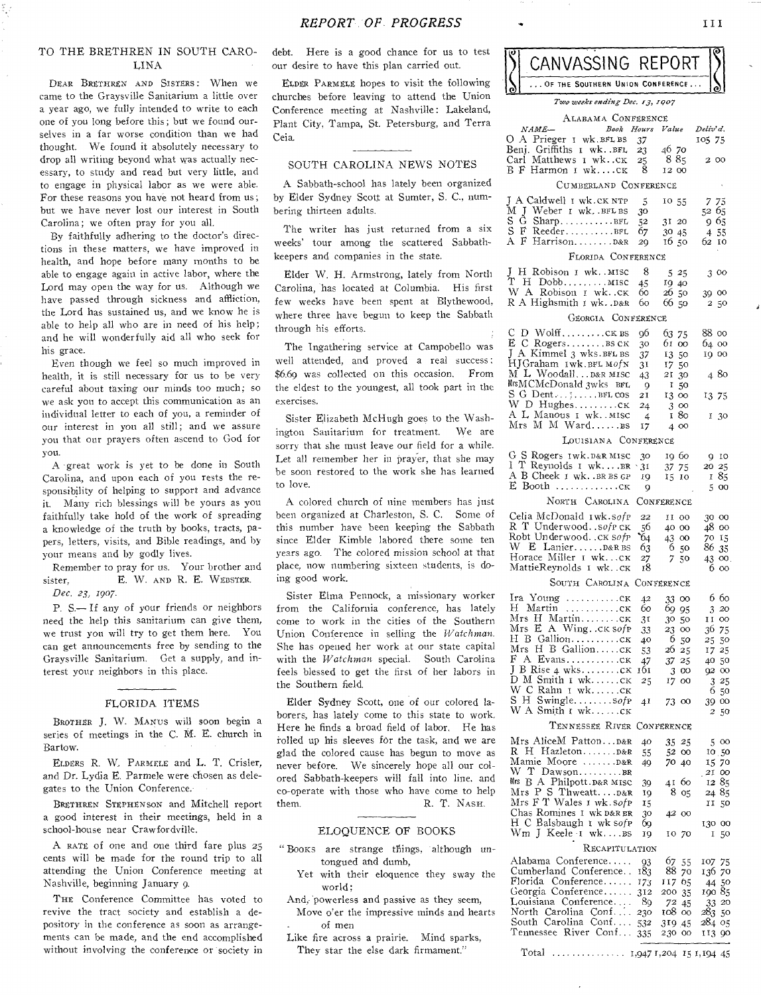### TO THE BRETHREN IN SOUTH CARO-LINA

DEAR BRETHREN AND SISTERS: When we came to the Graysville Sanitarium a little over a year ago, we fully intended to write to each one of you long before this; but we found ourselves in a far worse condition than we had thought. We found it absolutely necessary to drop all writing beyond what was actually necessary, to study and read but very little, and to engage in physical labor as we were able. For these reasons you have not heard from us; but we have never lost our interest in South Carolina; we often pray for you all.

By faithfully adhering to the doctor's directions in these matters, we have improved in health, and hope before many months to be able to engage again in active labor, where the Lord may open the way for us. Although we have passed through sickness and affliction, the Lord has sustained us, and we know he is able to help all who are in need of his help; and he will wonderfully aid all who seek for his grace.

Even though we feel so much improved in health, it is still necessary for us to be very careful about taxing our minds too much; so we ask you to accept this communication as an individual letter to each of you, a reminder of our interest in you all still; and we assure you that our prayers often ascend to God for you.

A -great work is yet to be done in South Carolina, and upon each of you rests the responsibility of helping to support and advance it. Many rich blessings will be yours as you faithfully take hold of the work of spreading a knowledge of the truth by books, tracts, papers, letters, visits, and Bible readings, and by your means and by godly lives.

Remember to pray for us. Your brother and sister, E. W. AND R. E. WEBSTER. *Dec. 23, 1907.* 

P. S.— If any of your friends or neighbors need the help this sanitarium can give them, we trust you will try to get them here. You can get announcements free by sending to the Graysville Sanitarium. Get a supply, and interest your neighbors in this place.

#### FLORIDA ITEMS

BROTHER J. W. MANus will soon begin a series of meetings in the C. M. E. church in Bartow.

ELDERS R. W.. PARMELE and L. T. Crisler, and Dr. Lydia E. Parmele were chosen as delegates to the Union Conference.

BRETHREN STEPHENSON and Mitchell report a good interest in their meetings, held in a school-house near Crawfordville.

A RATE of one and one third fare plus 25 cents will be made for the round trip to all attending the Union Conference meeting at Nashville, beginning January 9.

THE Conference Committee has voted to revive the tract society and establish a depository in the conference as soon as arrangements can be made, and the end accomplished without involving the conference or society in debt. Here is a good chance for us to test our desire to have this plan carried out.

ELDER PARMELE hopes to visit the following churches before leaving to attend the Union Conference meeting at Nashville: Lakeland, Plant City, Tampa, St. Petersburg, and Terra Ceia.

# SOUTH CAROLINA NEWS NOTES

A Sabbath-school has lately been organized by Elder Sydney Scott at Sumter, S. C., numbering thirteen adults.

The writer has just returned from a six weeks' tour among the scattered Sabbathkeepers and companies in the state.

Elder W. H. Armstrong, lately from North Carolina, has located at Columbia. His first few weeks have been spent at Blythewood, where three have begun to keep the Sabbath through his efforts.

The Ingathering service at Campobello was well attended, and proved a real success : \$6.69 was collected on this occasion. From the eldest to the youngest, all took part in the exercises.

Sister Elizabeth McHugh goes to the Washington Sanitarium for treatment. We are sorry that she must leave our field for a while. Let all remember her in prayer, that she may be soon restored to the work she has learned to love.

A colored church of nine members has just been organized at Charleston, *S.* C. Some of this number have been keeping the Sabbath since Elder Kimble labored there some ten years ago. The colored mission school at that place, now numbering sixteen students, is doing good work.

Sister Elma Pennock, a missionary worker from the California conference, has lately come to work in the cities of the Southern Union Conference in selling the *Watchman.*  She has opened her work at our state capital with the *Watchman* special. South Carolina feels blessed to get the first of her labors in the Southern field.

Elder Sydney Scott, one of our colored laborers, has lately come to this state to work. Here he finds a broad field of labor. He has rolled up his sleeves for the task, and we are glad the colored cause has begun to move as never before. We sincerely hope all our colored Sabbath-keepers will fall into line, and co-operate with those who have come to help them. R. T. NASH.

#### ELOQUENCE OF BOOKS

- " Books are strange things, although untongued and dumb,
	- Yet with their eloquence they sway the world;
- And, powerless and passive as they seem, Move o'er the impressive minds and hearts of men
- Like fire across a prairie. Mind sparks, They star the else dark firmament."

| CANVASSING REPORT                |  |
|----------------------------------|--|
| OF THE SOUTHERN UNION CONFERENCE |  |
| Two weeks ending Dec. 13, 1007   |  |

| ALABAMA CONFERENCE                                                               |            |                 |                  |  |  |  |
|----------------------------------------------------------------------------------|------------|-----------------|------------------|--|--|--|
| NAME-<br>Book Hours                                                              |            | Value           | Deliv' d.        |  |  |  |
| O A Prieger I wk. BFL BS                                                         | 37         |                 | 105 75           |  |  |  |
| Benj. Griffiths 1 wkBFL                                                          | 23         | 46 70           |                  |  |  |  |
| Carl Matthews 1 wkck                                                             | 25         | 885             | 2 00             |  |  |  |
| В F Harmon 1 wkск                                                                | 8          | 12 00           |                  |  |  |  |
| CUMBERLAND CONFERENCE                                                            |            |                 |                  |  |  |  |
| J A Caldwell I wk. CK NTP                                                        | 5          | 10 55           | 7 75             |  |  |  |
| M J Weber 1 wk. BFLBS                                                            | 30         |                 | 52 65            |  |  |  |
| S G<br>$Sharp$ BFL                                                               | 52         | 31 20           | 965              |  |  |  |
| S F ReederBFL                                                                    | 67         | 30 45           | 4 55             |  |  |  |
| A F Harrison D&R                                                                 | 29         | 16,50           | 62 10            |  |  |  |
| FLORIDA CONFERENCE                                                               |            |                 |                  |  |  |  |
| J<br>H Robison I wk. MISC                                                        | 8          | 525             | 300              |  |  |  |
| ້າ ເ<br>H Dobb MISC                                                              | 45         | 19 40           |                  |  |  |  |
| W A Robison I wk. . CK                                                           | 60         | 26<br>50        | 39 00            |  |  |  |
| R A Highsmith I wk. . D&R                                                        | 60         | 66 50           | 2 50             |  |  |  |
| GEORGIA CONFERENCE                                                               |            |                 |                  |  |  |  |
| С<br>D WolffCKBS                                                                 | 96         | 63<br>75        | 88 oo            |  |  |  |
|                                                                                  | 30         | 61.<br>$\infty$ | 64 00            |  |  |  |
| J A Kimmel 3 wks.BFL BS                                                          | 37         | 1350            | 19 00            |  |  |  |
| HJGraham Iwk.BFL MofN                                                            | 31         | 1750            |                  |  |  |  |
| M L Woodall D&R MISC                                                             | 43         | 21<br>30        | 480              |  |  |  |
| MrsMCMcDonald 3wks BFL                                                           | 9          | п<br>50         |                  |  |  |  |
| S G Dent;BFL COS                                                                 | 21         | 13 00           | 13 75            |  |  |  |
| W D HughesCK                                                                     | 24         | 300             |                  |  |  |  |
| A L Manous 1 wk. .MISC<br>Mrs M M Ward BS                                        | 4          | 80<br>1         | 130              |  |  |  |
|                                                                                  | 17         | 4 00            |                  |  |  |  |
| LOUISIANA CONFERENCE                                                             |            |                 |                  |  |  |  |
| G S Rogers Iwk. D&R MISC<br>I T Reynolds I wkBR                                  | 30         | 19 60           | 9 10             |  |  |  |
|                                                                                  | $\cdot$ 31 | 75<br>37        | 20 25            |  |  |  |
| A B Cheek I wk. .BR BS GP<br>E Booth                                             | 10         | 15<br>10        | 85<br>1          |  |  |  |
| $\ldots \ldots \ldots \ldots \text{CK}$                                          | 9          |                 | 5 00             |  |  |  |
| NORTH CAROLINA<br>CONFERENCE                                                     |            |                 |                  |  |  |  |
| Celia McDonald Iwk.sofp                                                          | 22         | II 00           | 30 00            |  |  |  |
| R T Underwood. . sofp CK                                                         | 56         | 40 00           | 48 00            |  |  |  |
| Robt Underwoodck sofp                                                            | 64         | 43<br>$\rm{oo}$ | 70 IS            |  |  |  |
| W E LanierD&RBS<br>Horace Miller I wkCK                                          | 63         | 650             | 86 35            |  |  |  |
| MattieReynolds 1 wkck                                                            | 27<br>18   | 7<br>50         | 43 00<br>6 00    |  |  |  |
| SOUTH CAROLINA<br>CONFERENCE                                                     |            |                 |                  |  |  |  |
|                                                                                  |            |                 |                  |  |  |  |
| Ira Young ck                                                                     | 42         | 33 00           | 6 60             |  |  |  |
| H Martin ck<br>Mrs H Martinck                                                    | 60         | 69 95           | 320              |  |  |  |
| Mrs $E$ A Wing $CK$ sof $P$                                                      | 31<br>33   | 30 50<br>23 00  | 11 00<br>36 75   |  |  |  |
| H B Gallionck                                                                    | 40         | 6 50            | 25.50            |  |  |  |
| H B GallionCK<br>Mrs.                                                            | 53         | 26 25           | 17 25            |  |  |  |
|                                                                                  | 47         | 37 25           | 40 50            |  |  |  |
| J B Rise 4 wksck                                                                 | 161        | 300             | 9200             |  |  |  |
| $D$ M Smith $i$ wk $CK$                                                          | 25         | 17 00           | 325              |  |  |  |
| wс<br>Rahn I wkCK<br>S H Swinglesofp                                             |            |                 | 6<br>50          |  |  |  |
| W A Smith I wkCK                                                                 | 41         | 73 00           | 39 00<br>50<br>2 |  |  |  |
| TENNESSEE RIVER CONFERENCE                                                       |            |                 |                  |  |  |  |
|                                                                                  |            |                 |                  |  |  |  |
| Mrs AliceM PattonD&R                                                             | 40         | 35 25           | 5 00             |  |  |  |
| Mamie Moore  D&R                                                                 | 55         | 52 00           | 10.50            |  |  |  |
| W T Dawson                                                                       | 49         | 7040            | 15 70<br>$2I$ 00 |  |  |  |
| Mrs B A Philpott. D&R MISC                                                       | 39         | 41 60           | 1285             |  |  |  |
|                                                                                  | 19         | 8 05            | 24 85            |  |  |  |
| Mrs P S Thweatt D&R<br>Mrs F T Wales 1 wk. sofp                                  | 15         |                 | 11 50            |  |  |  |
| Chas Romines I wk D&R BR                                                         | 30         | 4200            |                  |  |  |  |
| H C Balsbaugh I wk sofp                                                          | 69         |                 | 130 00           |  |  |  |
| Wm J Keele 1 wkBS                                                                | 19         | 10 70           | 1<br>50          |  |  |  |
| RECAPITULATION                                                                   |            |                 |                  |  |  |  |
| Alabama Conference                                                               | 93         | 67 55           | 107 75           |  |  |  |
| Cumberland Conference                                                            | 183        | 88 70           | 136 70           |  |  |  |
| Florida Conference                                                               | 173        | 117 65          | 44 50            |  |  |  |
| Georgia Conference<br>Louisiana Conference                                       | 312<br>-89 | 200 35          | 190 85           |  |  |  |
| North Carolina Conf                                                              | 230        | 72 45<br>108 00 | 33 20<br>283 50  |  |  |  |
| South Carolina Conf                                                              | 532        | 319.45          | 284 05           |  |  |  |
| Tennessee River Conf                                                             | 335        | 230 00          | 113 90           |  |  |  |
|                                                                                  |            |                 |                  |  |  |  |
| Total<br>$\dots \dots \dots \dots \dots \dots$ $I,947$ $I,204$ $I5$ $I,194$ $45$ |            |                 |                  |  |  |  |